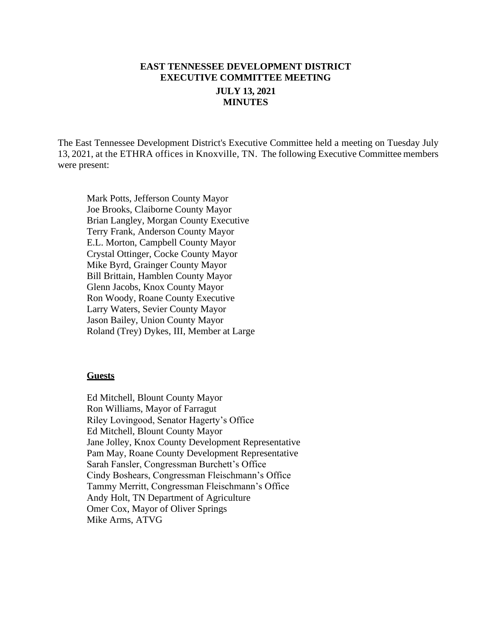# **EAST TENNESSEE DEVELOPMENT DISTRICT EXECUTIVE COMMITTEE MEETING JULY 13, 2021 MINUTES**

The East Tennessee Development District's Executive Committee held a meeting on Tuesday July 13, 2021, at the ETHRA offices in Knoxville, TN. The following Executive Committee members were present:

Mark Potts, Jefferson County Mayor Joe Brooks, Claiborne County Mayor Brian Langley, Morgan County Executive Terry Frank, Anderson County Mayor E.L. Morton, Campbell County Mayor Crystal Ottinger, Cocke County Mayor Mike Byrd, Grainger County Mayor Bill Brittain, Hamblen County Mayor Glenn Jacobs, Knox County Mayor Ron Woody, Roane County Executive Larry Waters, Sevier County Mayor Jason Bailey, Union County Mayor Roland (Trey) Dykes, III, Member at Large

#### **Guests**

Ed Mitchell, Blount County Mayor Ron Williams, Mayor of Farragut Riley Lovingood, Senator Hagerty's Office Ed Mitchell, Blount County Mayor Jane Jolley, Knox County Development Representative Pam May, Roane County Development Representative Sarah Fansler, Congressman Burchett's Office Cindy Boshears, Congressman Fleischmann's Office Tammy Merritt, Congressman Fleischmann's Office Andy Holt, TN Department of Agriculture Omer Cox, Mayor of Oliver Springs Mike Arms, ATVG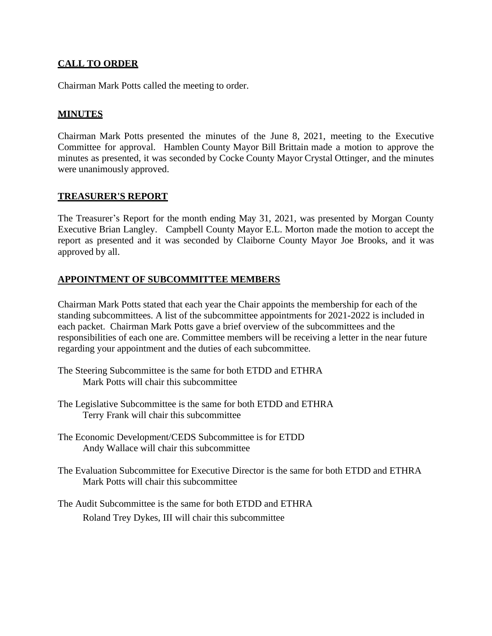## **CALL TO ORDER**

Chairman Mark Potts called the meeting to order.

## **MINUTES**

Chairman Mark Potts presented the minutes of the June 8, 2021, meeting to the Executive Committee for approval. Hamblen County Mayor Bill Brittain made a motion to approve the minutes as presented, it was seconded by Cocke County Mayor Crystal Ottinger, and the minutes were unanimously approved.

#### **TREASURER'S REPORT**

The Treasurer's Report for the month ending May 31, 2021, was presented by Morgan County Executive Brian Langley. Campbell County Mayor E.L. Morton made the motion to accept the report as presented and it was seconded by Claiborne County Mayor Joe Brooks, and it was approved by all.

### **APPOINTMENT OF SUBCOMMITTEE MEMBERS**

Chairman Mark Potts stated that each year the Chair appoints the membership for each of the standing subcommittees. A list of the subcommittee appointments for 2021-2022 is included in each packet. Chairman Mark Potts gave a brief overview of the subcommittees and the responsibilities of each one are. Committee members will be receiving a letter in the near future regarding your appointment and the duties of each subcommittee.

- The Steering Subcommittee is the same for both ETDD and ETHRA Mark Potts will chair this subcommittee
- The Legislative Subcommittee is the same for both ETDD and ETHRA Terry Frank will chair this subcommittee
- The Economic Development/CEDS Subcommittee is for ETDD Andy Wallace will chair this subcommittee
- The Evaluation Subcommittee for Executive Director is the same for both ETDD and ETHRA Mark Potts will chair this subcommittee
- The Audit Subcommittee is the same for both ETDD and ETHRA Roland Trey Dykes, III will chair this subcommittee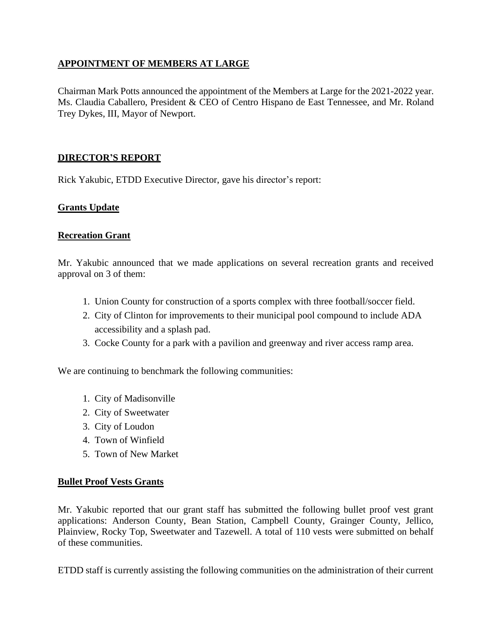## **APPOINTMENT OF MEMBERS AT LARGE**

Chairman Mark Potts announced the appointment of the Members at Large for the 2021-2022 year. Ms. Claudia Caballero, President & CEO of Centro Hispano de East Tennessee, and Mr. Roland Trey Dykes, III, Mayor of Newport.

#### **DIRECTOR'S REPORT**

Rick Yakubic, ETDD Executive Director, gave his director's report:

### **Grants Update**

#### **Recreation Grant**

Mr. Yakubic announced that we made applications on several recreation grants and received approval on 3 of them:

- 1. Union County for construction of a sports complex with three football/soccer field.
- 2. City of Clinton for improvements to their municipal pool compound to include ADA accessibility and a splash pad.
- 3. Cocke County for a park with a pavilion and greenway and river access ramp area.

We are continuing to benchmark the following communities:

- 1. City of Madisonville
- 2. City of Sweetwater
- 3. City of Loudon
- 4. Town of Winfield
- 5. Town of New Market

#### **Bullet Proof Vests Grants**

Mr. Yakubic reported that our grant staff has submitted the following bullet proof vest grant applications: Anderson County, Bean Station, Campbell County, Grainger County, Jellico, Plainview, Rocky Top, Sweetwater and Tazewell. A total of 110 vests were submitted on behalf of these communities.

ETDD staff is currently assisting the following communities on the administration of their current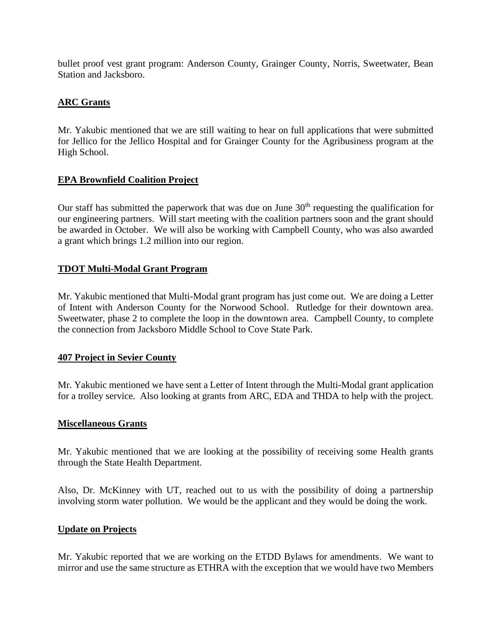bullet proof vest grant program: Anderson County, Grainger County, Norris, Sweetwater, Bean Station and Jacksboro.

### **ARC Grants**

Mr. Yakubic mentioned that we are still waiting to hear on full applications that were submitted for Jellico for the Jellico Hospital and for Grainger County for the Agribusiness program at the High School.

### **EPA Brownfield Coalition Project**

Our staff has submitted the paperwork that was due on June  $30<sup>th</sup>$  requesting the qualification for our engineering partners. Will start meeting with the coalition partners soon and the grant should be awarded in October. We will also be working with Campbell County, who was also awarded a grant which brings 1.2 million into our region.

## **TDOT Multi-Modal Grant Program**

Mr. Yakubic mentioned that Multi-Modal grant program has just come out. We are doing a Letter of Intent with Anderson County for the Norwood School. Rutledge for their downtown area. Sweetwater, phase 2 to complete the loop in the downtown area. Campbell County, to complete the connection from Jacksboro Middle School to Cove State Park.

### **407 Project in Sevier County**

Mr. Yakubic mentioned we have sent a Letter of Intent through the Multi-Modal grant application for a trolley service. Also looking at grants from ARC, EDA and THDA to help with the project.

### **Miscellaneous Grants**

Mr. Yakubic mentioned that we are looking at the possibility of receiving some Health grants through the State Health Department.

Also, Dr. McKinney with UT, reached out to us with the possibility of doing a partnership involving storm water pollution. We would be the applicant and they would be doing the work.

### **Update on Projects**

Mr. Yakubic reported that we are working on the ETDD Bylaws for amendments. We want to mirror and use the same structure as ETHRA with the exception that we would have two Members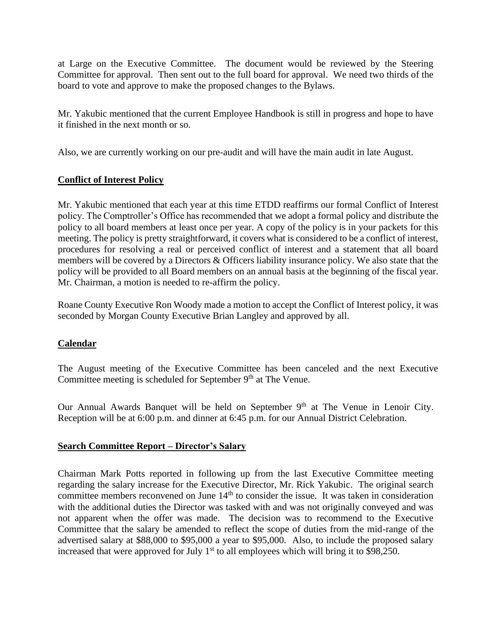at Large on the Executive Committee. The document would be reviewed by the Steering Committee for approval. Then sent out to the full board for approval. We need two thirds of the board to vote and approve to make the proposed changes to the Bylaws.

Mr. Yakubic mentioned that the current Employee Handbook is still in progress and hope to have it finished in the next month or so.

Also, we are currently working on our pre-audit and will have the main audit in late August.

#### **Conflict of Interest Policy**

Mr. Yakubic mentioned that each year at this time ETDD reaffirms our formal Conflict of Interest policy. The Comptroller's Office has recommended that we adopt a formal policy and distribute the policy to all board members at least once per year. A copy of the policy is in your packets for this meeting. The policy is pretty straightforward, it covers what is considered to be a conflict of interest, procedures for resolving a real or perceived conflict of interest and a statement that all board members will be covered by a Directors & Officers liability insurance policy. We also state that the policy will be provided to all Board members on an annual basis at the beginning of the fiscal year. Mr. Chairman, a motion is needed to re-affirm the policy.

Roane County Executive Ron Woody made a motion to accept the Conflict of Interest policy, it was seconded by Morgan County Executive Brian Langley and approved by all.

### **Calendar**

The August meeting of the Executive Committee has been canceled and the next Executive Committee meeting is scheduled for September  $9<sup>th</sup>$  at The Venue.

Our Annual Awards Banquet will be held on September 9<sup>th</sup> at The Venue in Lenoir City. Reception will be at 6:00 p.m. and dinner at 6:45 p.m. for our Annual District Celebration.

#### **Search Committee Report – Director's Salary**

Chairman Mark Potts reported in following up from the last Executive Committee meeting regarding the salary increase for the Executive Director, Mr. Rick Yakubic. The original search committee members reconvened on June 14<sup>th</sup> to consider the issue. It was taken in consideration with the additional duties the Director was tasked with and was not originally conveyed and was not apparent when the offer was made. The decision was to recommend to the Executive Committee that the salary be amended to reflect the scope of duties from the mid-range of the advertised salary at \$88,000 to \$95,000 a year to \$95,000. Also, to include the proposed salary increased that were approved for July  $1<sup>st</sup>$  to all employees which will bring it to \$98,250.